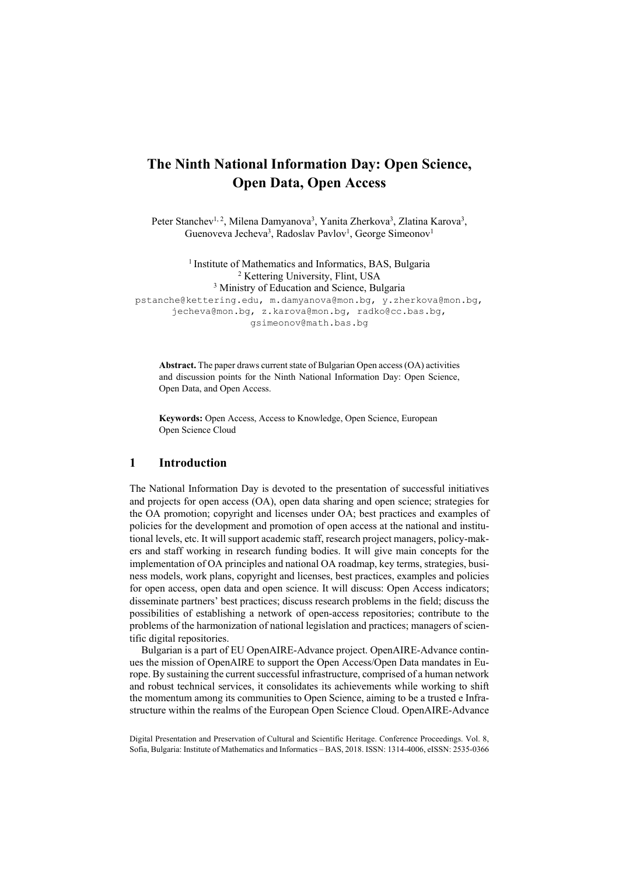# **The Ninth National Information Day: Open Science, Open Data, Open Access**

Peter Stanchev<sup>1, 2</sup>, Milena Damyanova<sup>3</sup>, Yanita Zherkova<sup>3</sup>, Zlatina Karova<sup>3</sup>, Guenoveva Jecheva<sup>3</sup>, Radoslav Pavlov<sup>1</sup>, George Simeonov<sup>1</sup>

<sup>1</sup> Institute of Mathematics and Informatics, BAS, Bulgaria <sup>2</sup> Kettering University, Flint, USA <sup>3</sup> Ministry of Education and Science, Bulgaria pstanche@kettering.edu, m.damyanova@mon.bg, y.zherkova@mon.bg, jecheva@mon.bg, z.karova@mon.bg, radko@cc.bas.bg, gsimeonov@math.bas.bg

**Abstract.** The paper draws current state of Bulgarian Open access (OA) activities and discussion points for the Ninth National Information Day: Open Science, Open Data, and Open Access.

**Keywords:** Open Access, Access to Knowledge, Open Science, European Open Science Cloud

# **1 Introduction**

The National Information Day is devoted to the presentation of successful initiatives and projects for open access (OA), open data sharing and open science; strategies for the OA promotion; copyright and licenses under OA; best practices and examples of policies for the development and promotion of open access at the national and institutional levels, etc. It will support academic staff, research project managers, policy-makers and staff working in research funding bodies. It will give main concepts for the implementation of OA principles and national OA roadmap, key terms, strategies, business models, work plans, copyright and licenses, best practices, examples and policies for open access, open data and open science. It will discuss: Open Access indicators; disseminate partners' best practices; discuss research problems in the field; discuss the possibilities of establishing a network of open-access repositories; contribute to the problems of the harmonization of national legislation and practices; managers of scientific digital repositories.

Bulgarian is a part of EU OpenAIRE-Advance project. OpenAIRE-Advance continues the mission of OpenAIRE to support the Open Access/Open Data mandates in Europe. By sustaining the current successful infrastructure, comprised of a human network and robust technical services, it consolidates its achievements while working to shift the momentum among its communities to Open Science, aiming to be a trusted e Infrastructure within the realms of the European Open Science Cloud. OpenAIRE-Advance

Digital Presentation and Preservation of Cultural and Scientific Heritage. Conference Proceedings. Vol. 8, Sofia, Bulgaria: Institute of Mathematics and Informatics – BAS, 2018. ISSN: 1314-4006, eISSN: 2535-0366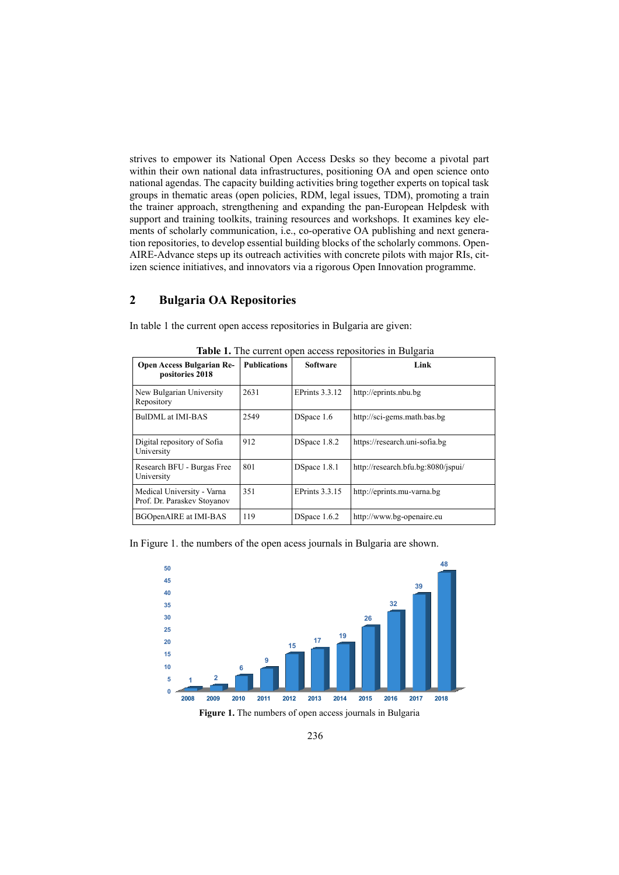strives to empower its National Open Access Desks so they become a pivotal part within their own national data infrastructures, positioning OA and open science onto national agendas. The capacity building activities bring together experts on topical task groups in thematic areas (open policies, RDM, legal issues, TDM), promoting a train the trainer approach, strengthening and expanding the pan-European Helpdesk with support and training toolkits, training resources and workshops. It examines key elements of scholarly communication, i.e., co-operative OA publishing and next generation repositories, to develop essential building blocks of the scholarly commons. Open-AIRE-Advance steps up its outreach activities with concrete pilots with major RIs, citizen science initiatives, and innovators via a rigorous Open Innovation programme.

## **2 Bulgaria OA Repositories**

In table 1 the current open access repositories in Bulgaria are given:

|                                                           |                     | $\cdots$              |                                    |
|-----------------------------------------------------------|---------------------|-----------------------|------------------------------------|
| <b>Open Access Bulgarian Re-</b><br>positories 2018       | <b>Publications</b> | <b>Software</b>       | Link                               |
| New Bulgarian University<br>Repository                    | 2631                | EPrints 3.3.12        | http://eprints.nbu.bg              |
| BulDML at IMI-BAS                                         | 2549                | DSpace 1.6            | http://sci-gems.math.bas.bg        |
| Digital repository of Sofia<br>University                 | 912                 | DSpace 1.8.2          | https://research.uni-sofia.bg      |
| Research BFU - Burgas Free<br>University                  | 801                 | DSpace 1.8.1          | http://research.bfu.bg:8080/jspui/ |
| Medical University - Varna<br>Prof. Dr. Paraskev Stoyanov | 351                 | <b>EPrints 3.3.15</b> | http://eprints.mu-varna.bg         |
| <b>BGOpenAIRE</b> at IMI-BAS                              | 119                 | DSpace 1.6.2          | http://www.bg-openaire.eu          |

**Table 1.** The current open access repositories in Bulgaria

In Figure 1. the numbers of the open acess journals in Bulgaria are shown.

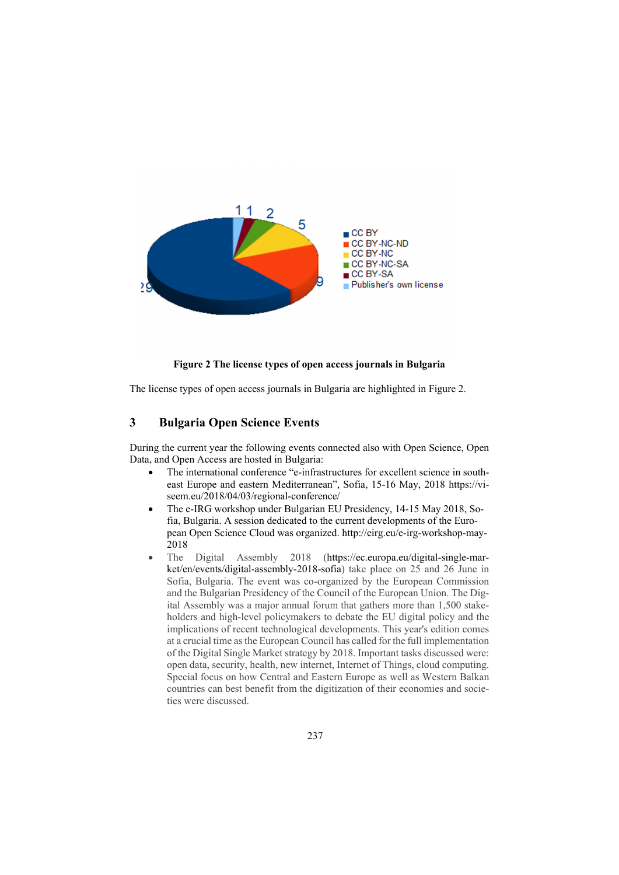

#### **Figure 2 The license types of open access journals in Bulgaria**

The license types of open access journals in Bulgaria are highlighted in Figure 2.

# **3 Bulgaria Open Science Events**

During the current year the following events connected also with Open Science, Open Data, and Open Access are hosted in Bulgaria:

- The international conference "e-infrastructures for excellent science in southeast Europe and eastern Mediterranean", Sofia, 15-16 May, 2018 https://viseem.eu/2018/04/03/regional-conference/
- The e-IRG workshop under Bulgarian EU Presidency, 14-15 May 2018, Sofia, Bulgaria. A session dedicated to the current developments of the European Open Science Cloud was organized. http://eirg.eu/e-irg-workshop-may-2018
- The Digital Assembly 2018 (https://ec.europa.eu/digital-single-market/en/events/digital-assembly-2018-sofia) take place on 25 and 26 June in Sofia, Bulgaria. The event was co-organized by the European Commission and the Bulgarian Presidency of the Council of the European Union. The Digital Assembly was a major annual forum that gathers more than 1,500 stakeholders and high-level policymakers to debate the EU digital policy and the implications of recent technological developments. This year's edition comes at a crucial time as the European Council has called for the full implementation of the Digital Single Market strategy by 2018. Important tasks discussed were: open data, security, health, new internet, Internet of Things, cloud computing. Special focus on how Central and Eastern Europe as well as Western Balkan countries can best benefit from the digitization of their economies and societies were discussed.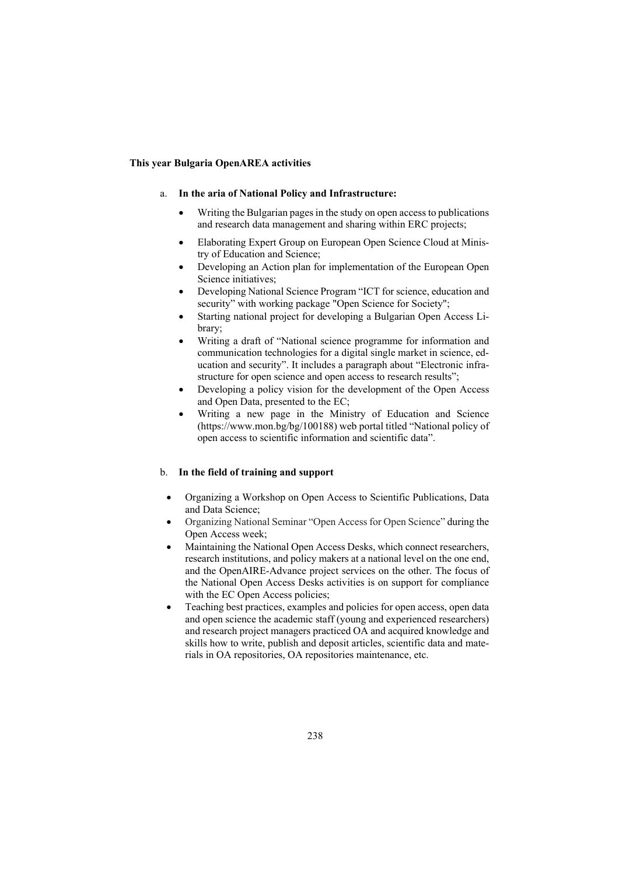#### **This year Bulgaria OpenAREA activities**

#### a. **In the aria of National Policy and Infrastructure:**

- Writing the Bulgarian pages in the study on open access to publications and research data management and sharing within ERC projects;
- Elaborating Expert Group on European Open Science Cloud at Ministry of Education and Science;
- Developing an Action plan for implementation of the European Open Science initiatives:
- Developing National Science Program "ICT for science, education and security" with working package "Open Science for Society";
- Starting national project for developing a Bulgarian Open Access Library;
- Writing a draft of "National science programme for information and communication technologies for a digital single market in science, education and security". It includes a paragraph about "Electronic infrastructure for open science and open access to research results";
- Developing a policy vision for the development of the Open Access and Open Data, presented to the EC;
- Writing a new page in the Ministry of Education and Science (https://www.mon.bg/bg/100188) web portal titled "National policy of open access to scientific information and scientific data".

## b. **In the field of training and support**

- Organizing a Workshop on Open Access to Scientific Publications, Data and Data Science;
- Organizing National Seminar "Open Access for Open Science" during the Open Access week;
- Maintaining the National Open Access Desks, which connect researchers, research institutions, and policy makers at a national level on the one end, and the OpenAIRE-Advance project services on the other. The focus of the National Open Access Desks activities is on support for compliance with the EC Open Access policies;
- Teaching best practices, examples and policies for open access, open data and open science the academic staff (young and experienced researchers) and research project managers practiced OA and acquired knowledge and skills how to write, publish and deposit articles, scientific data and materials in OA repositories, OA repositories maintenance, etc.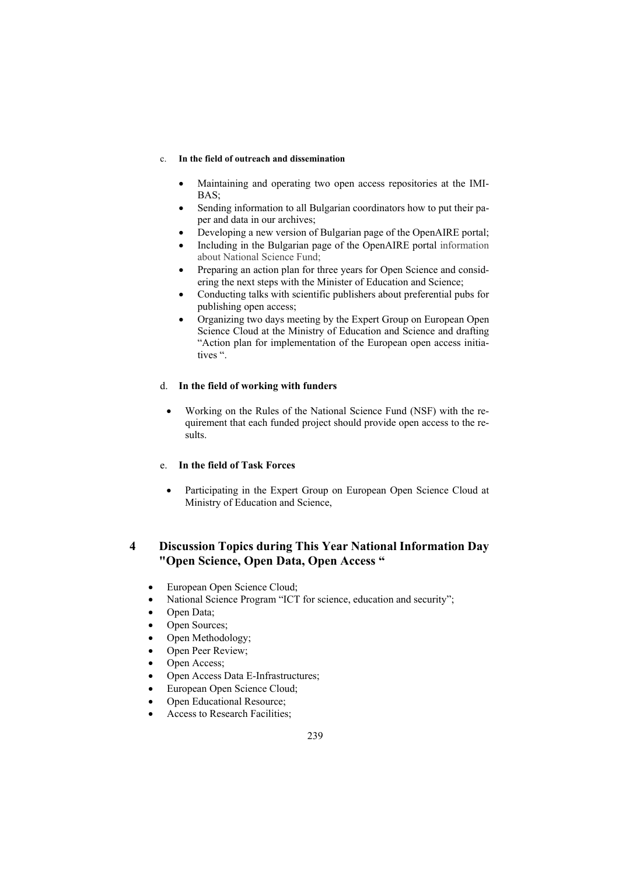#### c. **In the field of outreach and dissemination**

- Maintaining and operating two open access repositories at the IMI-BAS;
- Sending information to all Bulgarian coordinators how to put their paper and data in our archives;
- Developing a new version of Bulgarian page of the OpenAIRE portal;
- Including in the Bulgarian page of the OpenAIRE portal information about National Science Fund;
- Preparing an action plan for three years for Open Science and considering the next steps with the Minister of Education and Science;
- Conducting talks with scientific publishers about preferential pubs for publishing open access;
- Organizing two days meeting by the Expert Group on European Open Science Cloud at the Ministry of Education and Science and drafting "Action plan for implementation of the European open access initiatives ".

### d. **In the field of working with funders**

 Working on the Rules of the National Science Fund (NSF) with the requirement that each funded project should provide open access to the results.

## e. **In the field of Task Forces**

 Participating in the Expert Group on European Open Science Cloud at Ministry of Education and Science,

# **4 Discussion Topics during This Year National Information Day "Open Science, Open Data, Open Access "**

- European Open Science Cloud;
- National Science Program "ICT for science, education and security";
- Open Data:
- Open Sources;
- Open Methodology;
- Open Peer Review;
- Open Access;
- Open Access Data E-Infrastructures;
- European Open Science Cloud;
- Open Educational Resource;
- Access to Research Facilities;